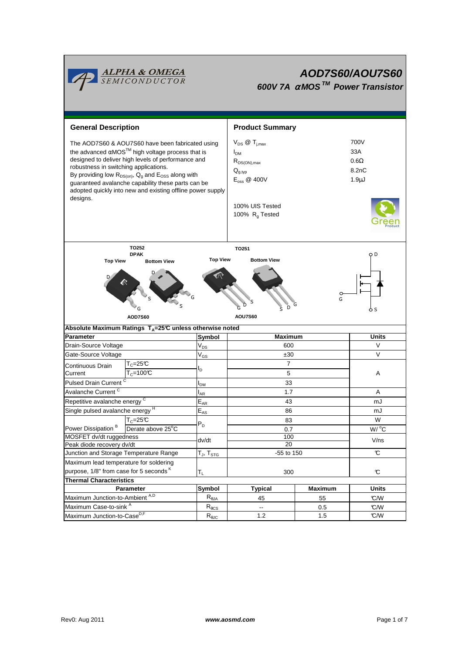

# **AOD7S60/AOU7S60 600V 7A** <sup>α</sup> **MOS TM Power Transistor**

| <b>General Description</b>                                                                                                                                                                                                                                                                                                                                                                                                |                            | <b>Product Summary</b>                                                                                                                                                            |                |                                                         |  |  |  |  |
|---------------------------------------------------------------------------------------------------------------------------------------------------------------------------------------------------------------------------------------------------------------------------------------------------------------------------------------------------------------------------------------------------------------------------|----------------------------|-----------------------------------------------------------------------------------------------------------------------------------------------------------------------------------|----------------|---------------------------------------------------------|--|--|--|--|
| The AOD7S60 & AOU7S60 have been fabricated using<br>the advanced $\alpha$ MOS <sup>TM</sup> high voltage process that is<br>designed to deliver high levels of performance and<br>robustness in switching applications.<br>By providing low $R_{DS(on)}$ , $Q_g$ and $E_{OSS}$ along with<br>guaranteed avalanche capability these parts can be<br>adopted quickly into new and existing offline power supply<br>designs. |                            | $V_{DS}$ $\omega$ $T_{i,max}$<br>I <sub>DM</sub><br>$R_{DS(ON),max}$<br>$\mathsf{Q}_{g,\mathsf{typ}}$<br>$E_{\text{oss}}$ @ 400V<br>100% UIS Tested<br>100% R <sub>a</sub> Tested |                | 700V<br>33A<br>$0.6\Omega$<br>8.2nC<br>1.9 <sub>µ</sub> |  |  |  |  |
| TO252                                                                                                                                                                                                                                                                                                                                                                                                                     | TO251                      |                                                                                                                                                                                   |                |                                                         |  |  |  |  |
| <b>DPAK</b><br><b>Top View</b><br><b>Bottom View</b>                                                                                                                                                                                                                                                                                                                                                                      | <b>Top View</b>            | <b>Bottom View</b>                                                                                                                                                                |                | QD                                                      |  |  |  |  |
| G<br>G<br>D<br>6 s<br><b>AOU7S60</b><br><b>AOD7S60</b>                                                                                                                                                                                                                                                                                                                                                                    |                            |                                                                                                                                                                                   |                |                                                         |  |  |  |  |
| Absolute Maximum Ratings T <sub>A</sub> =25℃ unless otherwise noted                                                                                                                                                                                                                                                                                                                                                       |                            |                                                                                                                                                                                   |                |                                                         |  |  |  |  |
| <b>Parameter</b>                                                                                                                                                                                                                                                                                                                                                                                                          | Symbol                     | <b>Maximum</b>                                                                                                                                                                    |                | Units                                                   |  |  |  |  |
| Drain-Source Voltage                                                                                                                                                                                                                                                                                                                                                                                                      | $\mathsf{V}_{\mathsf{DS}}$ | 600                                                                                                                                                                               |                | V                                                       |  |  |  |  |
| Gate-Source Voltage                                                                                                                                                                                                                                                                                                                                                                                                       | $\rm V_{GS}$               | ±30                                                                                                                                                                               |                | V                                                       |  |  |  |  |
| $T_c = 25C$<br>Continuous Drain                                                                                                                                                                                                                                                                                                                                                                                           | l <sub>D</sub>             | $\overline{7}$                                                                                                                                                                    |                | Α                                                       |  |  |  |  |
| $T_c = 100C$<br>Current                                                                                                                                                                                                                                                                                                                                                                                                   |                            |                                                                                                                                                                                   | 5              |                                                         |  |  |  |  |
| Pulsed Drain Current <sup>C</sup>                                                                                                                                                                                                                                                                                                                                                                                         | I <sub>DM</sub>            | 33                                                                                                                                                                                |                |                                                         |  |  |  |  |
| Avalanche Current <sup>C</sup>                                                                                                                                                                                                                                                                                                                                                                                            | $I_{AR}$                   | 1.7                                                                                                                                                                               |                | Α                                                       |  |  |  |  |
| Repetitive avalanche energy <sup>C</sup>                                                                                                                                                                                                                                                                                                                                                                                  | $E_{AR}$                   | 43                                                                                                                                                                                |                | mJ                                                      |  |  |  |  |
| Single pulsed avalanche energy H                                                                                                                                                                                                                                                                                                                                                                                          | $\mathsf{E}_{\mathsf{AS}}$ | 86                                                                                                                                                                                |                | mJ                                                      |  |  |  |  |
| $T_c = 25\overline{C}$                                                                                                                                                                                                                                                                                                                                                                                                    | $P_D$                      | 83                                                                                                                                                                                |                | W                                                       |  |  |  |  |
| Power Dissipation <sup>B</sup><br>Derate above 25°C                                                                                                                                                                                                                                                                                                                                                                       |                            | 0.7                                                                                                                                                                               |                | $W/$ °C                                                 |  |  |  |  |
| MOSFET dv/dt ruggedness                                                                                                                                                                                                                                                                                                                                                                                                   | dv/dt                      | 100                                                                                                                                                                               |                | V/ns                                                    |  |  |  |  |
| Peak diode recovery dv/dt<br>Junction and Storage Temperature Range                                                                                                                                                                                                                                                                                                                                                       | $T_J$ , $T_{STG}$          | 20<br>-55 to 150                                                                                                                                                                  |                | $\mathfrak{C}$                                          |  |  |  |  |
|                                                                                                                                                                                                                                                                                                                                                                                                                           |                            |                                                                                                                                                                                   |                |                                                         |  |  |  |  |
| Maximum lead temperature for soldering<br>purpose, 1/8" from case for 5 seconds K                                                                                                                                                                                                                                                                                                                                         |                            |                                                                                                                                                                                   |                |                                                         |  |  |  |  |
| <b>Thermal Characteristics</b>                                                                                                                                                                                                                                                                                                                                                                                            | $T_L$                      | 300                                                                                                                                                                               |                | $\mathbf c$                                             |  |  |  |  |
| Parameter                                                                                                                                                                                                                                                                                                                                                                                                                 | <b>Symbol</b>              | <b>Typical</b>                                                                                                                                                                    | <b>Maximum</b> | <b>Units</b>                                            |  |  |  |  |
| Maximum Junction-to-Ambient A,D                                                                                                                                                                                                                                                                                                                                                                                           | $R_{\theta JA}$            | 45                                                                                                                                                                                | 55             |                                                         |  |  |  |  |
| Maximum Case-to-sink A                                                                                                                                                                                                                                                                                                                                                                                                    |                            |                                                                                                                                                                                   |                |                                                         |  |  |  |  |
|                                                                                                                                                                                                                                                                                                                                                                                                                           | $R_{\theta CS}$            | $\overline{\phantom{a}}$                                                                                                                                                          | 0.5            | C/W<br>C/W                                              |  |  |  |  |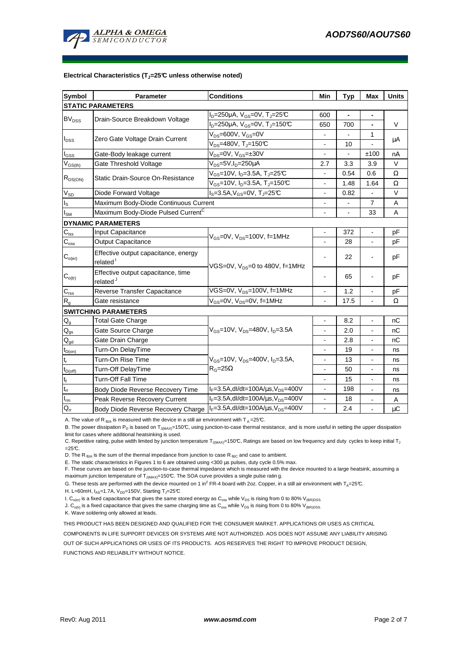

#### **Electrical Characteristics (TJ=25°C unless otherwise noted)**

| <b>Symbol</b>                         | Parameter                                                    | <b>Conditions</b>                                         | Min                      | <b>Typ</b> | Max                      | <b>Units</b> |  |  |  |
|---------------------------------------|--------------------------------------------------------------|-----------------------------------------------------------|--------------------------|------------|--------------------------|--------------|--|--|--|
| <b>STATIC PARAMETERS</b>              |                                                              |                                                           |                          |            |                          |              |  |  |  |
| BV <sub>DSS</sub>                     | Drain-Source Breakdown Voltage                               | $I_D = 250 \mu A$ , $V_{GS} = 0V$ , $T_J = 25 \text{C}$   | 600                      |            | $\blacksquare$           |              |  |  |  |
|                                       |                                                              | $I_D = 250 \mu A$ , $V_{GS} = 0V$ , T <sub>J</sub> =150°C | 650                      | 700        | $\blacksquare$           | V            |  |  |  |
| $I_{DSS}$                             | Zero Gate Voltage Drain Current                              | $V_{DS}$ =600V, $V_{GS}$ =0V                              |                          |            | 1                        |              |  |  |  |
|                                       |                                                              | $V_{DS}$ =480V, T <sub>J</sub> =150°C                     |                          | 10         |                          | μA           |  |  |  |
| $I_{GSS}$                             | Gate-Body leakage current                                    | $V_{DS} = 0V$ , $V_{GS} = \pm 30V$                        | $\overline{\phantom{a}}$ |            | ±100                     | nA           |  |  |  |
| $V_{GS(th)}$                          | Gate Threshold Voltage                                       | $V_{DS}$ =5V,I <sub>D</sub> =250µA                        | 2.7                      | 3.3        | 3.9                      | $\vee$       |  |  |  |
| $R_{DS(ON)}$                          | Static Drain-Source On-Resistance                            | $V_{GS}$ =10V, I <sub>D</sub> =3.5A, T <sub>J</sub> =25°C |                          | 0.54       | 0.6                      | Ω            |  |  |  |
|                                       |                                                              | $V_{GS}$ =10V, I <sub>D</sub> =3.5A, T <sub>J</sub> =150℃ | $\blacksquare$           | 1.48       | 1.64                     | Ω            |  |  |  |
| $\rm V_{SD}$                          | Diode Forward Voltage                                        | $I_s = 3.5A$ , $V_{GS} = 0V$ , $T_s = 25C$                | $\overline{\phantom{a}}$ | 0.82       |                          | V            |  |  |  |
| $\mathsf{I}_\mathsf{S}$               | Maximum Body-Diode Continuous Current                        |                                                           |                          |            | $\overline{7}$           | A            |  |  |  |
| $I_{SM}$                              | Maximum Body-Diode Pulsed Current <sup>C</sup>               |                                                           |                          |            | 33                       | A            |  |  |  |
|                                       | <b>DYNAMIC PARAMETERS</b>                                    |                                                           |                          |            |                          |              |  |  |  |
| $C_{\text{iss}}$                      | Input Capacitance                                            | $V_{GS}$ =0V, $V_{DS}$ =100V, f=1MHz                      |                          | 372        |                          | рF           |  |  |  |
| $\mathbf{C}_{\underline{\text{oss}}}$ | <b>Output Capacitance</b>                                    |                                                           | $\blacksquare$           | 28         | $\blacksquare$           | рF           |  |  |  |
| $C_{o(er)}$                           | Effective output capacitance, energy<br>related <sup>1</sup> | VGS=0V, $V_{DS}=0$ to 480V, f=1MHz                        |                          | 22         |                          | pF           |  |  |  |
| $C_{o(tr)}$                           | Effective output capacitance, time<br>related <sup>J</sup>   |                                                           |                          | 65         |                          | рF           |  |  |  |
| $C_{\rm rss}$                         | Reverse Transfer Capacitance                                 | VGS=0V, V <sub>DS</sub> =100V, f=1MHz                     |                          | 1.2        |                          | pF           |  |  |  |
| R <sub>g</sub>                        | Gate resistance                                              | V <sub>GS</sub> =0V, V <sub>DS</sub> =0V, f=1MHz          |                          | 17.5       |                          | Ω            |  |  |  |
|                                       | <b>SWITCHING PARAMETERS</b>                                  |                                                           |                          |            |                          |              |  |  |  |
| $\mathsf{Q}_{\mathsf{g}}$             | <b>Total Gate Charge</b>                                     |                                                           |                          | 8.2        |                          | nС           |  |  |  |
| $\mathsf{Q}_{\text{gs}}$              | Gate Source Charge                                           | $V_{GS}$ =10V, $V_{DS}$ =480V, $I_{D}$ =3.5A              | $\overline{a}$           | 2.0        | $\blacksquare$           | nC           |  |  |  |
| $\mathsf{Q}_{\text{gd}}$              | Gate Drain Charge                                            |                                                           |                          | 2.8        |                          | nC           |  |  |  |
| $t_{D(on)}$                           | Turn-On DelayTime                                            |                                                           |                          | 19         |                          | ns           |  |  |  |
| $\mathsf{t}_{\mathsf{r}}$             | Turn-On Rise Time                                            | $V_{GS}$ =10V, $V_{DS}$ =400V, $I_{D}$ =3.5A,             | $\overline{\phantom{a}}$ | 13         | $\overline{\phantom{a}}$ | ns           |  |  |  |
| $t_{D(off)}$                          | Turn-Off DelayTime                                           | $R_G = 25\Omega$                                          | $\overline{a}$           | 50         | $\overline{\phantom{a}}$ | ns           |  |  |  |
| $\mathbf{t}_\text{f}$                 | Turn-Off Fall Time                                           |                                                           |                          | 15         | $\overline{a}$           | ns           |  |  |  |
| $\mathfrak{t}_{\text{rr}}$            | Body Diode Reverse Recovery Time                             | $I_F = 3.5A$ , dl/dt=100A/ $\mu$ s, V <sub>DS</sub> =400V |                          | 198        | $\overline{\phantom{a}}$ | ns           |  |  |  |
| $I_{rm}$                              | Peak Reverse Recovery Current                                | $I_F = 3.5A$ , dl/dt=100A/ $\mu$ s, V <sub>DS</sub> =400V |                          | 18         |                          | Α            |  |  |  |
| $Q_{rr}$                              | Body Diode Reverse Recovery Charge                           | $I_F = 3.5A$ , dl/dt=100A/ $\mu$ s, V <sub>DS</sub> =400V | $\blacksquare$           | 2.4        |                          | $\mu$ C      |  |  |  |

A. The value of R<sub>θJA</sub> is measured with the device in a still air environment with T<sub>A</sub>=25°C.

B. The power dissipation P<sub>D</sub> is based on T<sub>J(MAX)</sub>=150°C, using junction-to-case thermal resistance, and is more useful in setting the upper dissipation limit for cases where additional heatsinking is used.

C. Repetitive rating, pulse width limited by junction temperature T<sub>J(MAX)</sub>=150°C, Ratings are based on low frequency and duty cycles to keep initial T<sub>J</sub>  $=25C$ .

D. The R  $_{\text{BJA}}$  is the sum of the thermal impedance from junction to case R  $_{\text{BJC}}$  and case to ambient.

E. The static characteristics in Figures 1 to 6 are obtained using <300 µs pulses, duty cycle 0.5% max.

F. These curves are based on the junction-to-case thermal impedance which is measured with the device mounted to a large heatsink, assuming a maximum junction temperature of  $T_{J(MAX)}$ =150°C. The SOA curve provides a single pulse ratin g.

G. These tests are performed with the device mounted on 1 in<sup>2</sup> FR-4 board with 2oz. Copper, in a still air environment with T<sub>A</sub>=25°C.

H. L=60mH,  $I_{AS}$ =1.7A,  $V_{DD}$ =150V, Starting T<sub>J</sub>=25°C

I.  $C_{o(ef)}$  is a fixed capacitance that gives the same stored energy as  $C_{oss}$  while  $V_{DS}$  is rising from 0 to 80%  $V_{IBR)DSS}$ .

J.  $C_{o(tr)}$  is a fixed capacitance that gives the same charging time as  $C_{oss}$  while  $V_{DS}$  is rising from 0 to 80%  $V_{(BR)DSS}$ .

K. Wave soldering only allowed at leads.

THIS PRODUCT HAS BEEN DESIGNED AND QUALIFIED FOR THE CONSUMER MARKET. APPLICATIONS OR USES AS CRITICAL

COMPONENTS IN LIFE SUPPORT DEVICES OR SYSTEMS ARE NOT AUTHORIZED. AOS DOES NOT ASSUME ANY LIABILITY ARISING

OUT OF SUCH APPLICATIONS OR USES OF ITS PRODUCTS. AOS RESERVES THE RIGHT TO IMPROVE PRODUCT DESIGN,

FUNCTIONS AND RELIABILITY WITHOUT NOTICE.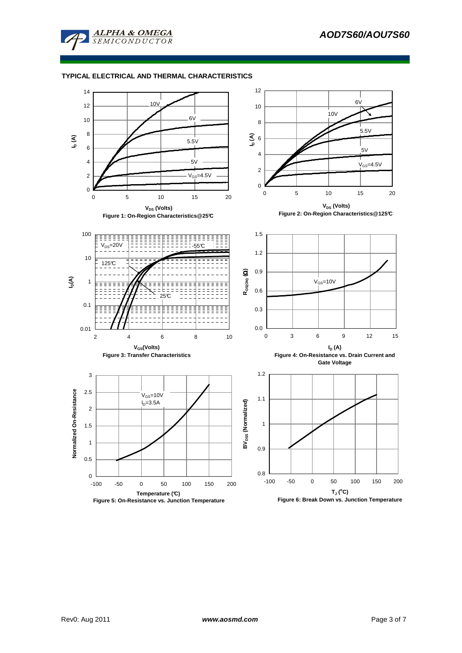

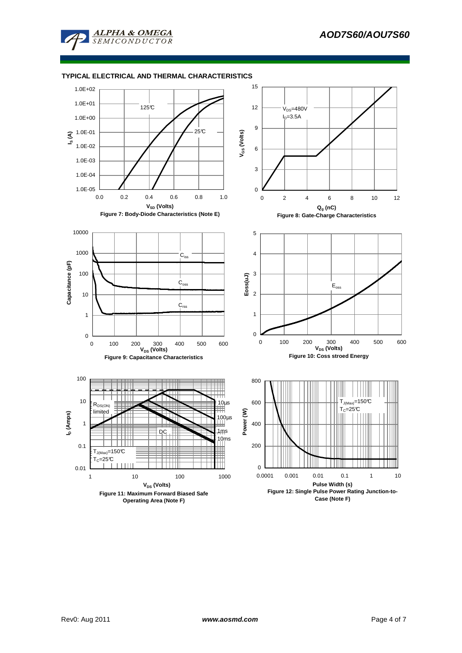

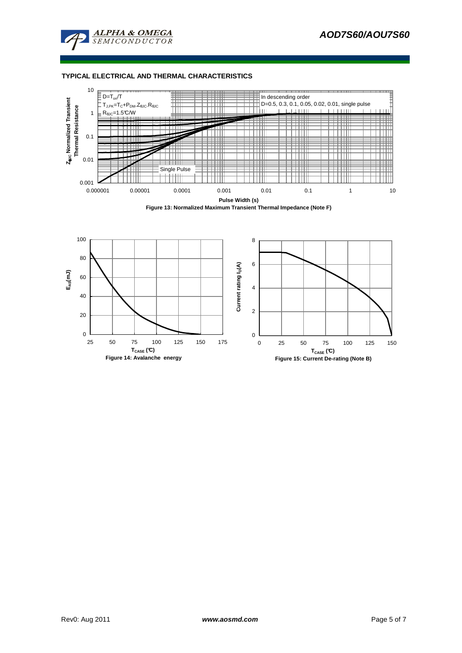





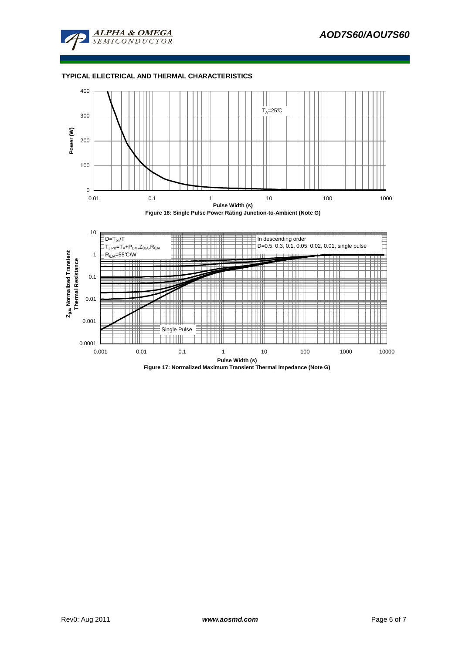